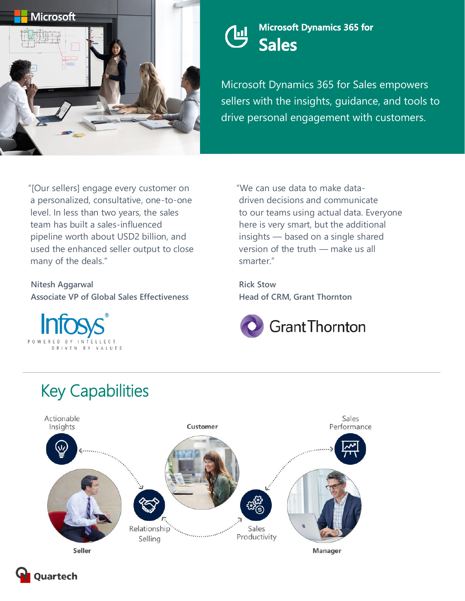

#### **Microsoft Dynamics 365 for**  凹 **Sales**

Microsoft Dynamics 365 for Sales empowers sellers with the insights, guidance, and tools to drive personal engagement with customers.

"[Our sellers] engage every customer on a personalized, consultative, one-to-one level. In less than two years, the sales team has built a sales-influenced pipeline worth about USD2 billion, and used the enhanced seller output to close many of the deals."

**Nitesh Aggarwal Associate VP of Global Sales Effectiveness**



"We can use data to make datadriven decisions and communicate to our teams using actual data. Everyone here is very smart, but the additional insights — based on a single shared version of the truth — make us all smarter."

**Rick Stow Head of CRM, Grant Thornton**



# Key Capabilities